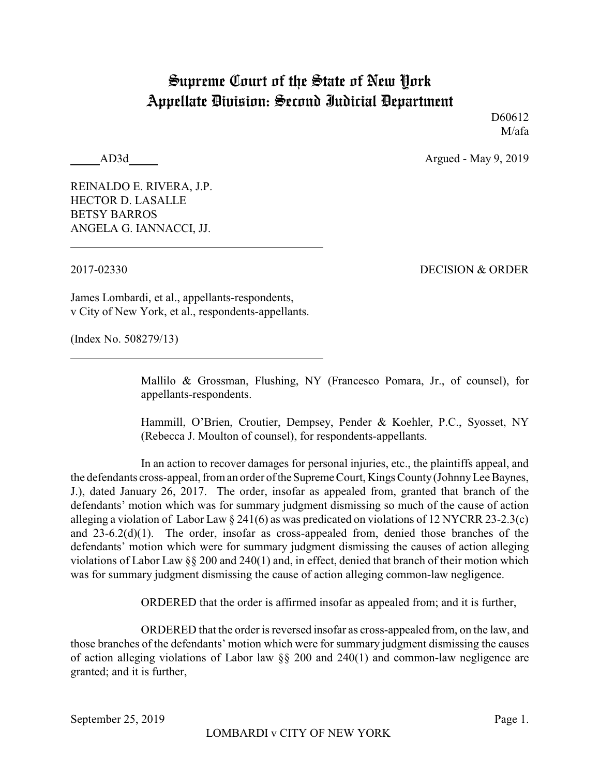## Supreme Court of the State of New York Appellate Division: Second Judicial Department

D<sub>60612</sub> M/afa

AD3d Argued - May 9, 2019

REINALDO E. RIVERA, J.P. HECTOR D. LASALLE BETSY BARROS ANGELA G. IANNACCI, JJ.

2017-02330 DECISION & ORDER

James Lombardi, et al., appellants-respondents, v City of New York, et al., respondents-appellants.

(Index No. 508279/13)

Mallilo & Grossman, Flushing, NY (Francesco Pomara, Jr., of counsel), for appellants-respondents.

Hammill, O'Brien, Croutier, Dempsey, Pender & Koehler, P.C., Syosset, NY (Rebecca J. Moulton of counsel), for respondents-appellants.

In an action to recover damages for personal injuries, etc., the plaintiffs appeal, and the defendants cross-appeal, from an order oftheSupreme Court, Kings County(JohnnyLee Baynes, J.), dated January 26, 2017. The order, insofar as appealed from, granted that branch of the defendants' motion which was for summary judgment dismissing so much of the cause of action alleging a violation of Labor Law § 241(6) as was predicated on violations of 12 NYCRR 23-2.3(c) and 23-6.2(d)(1). The order, insofar as cross-appealed from, denied those branches of the defendants' motion which were for summary judgment dismissing the causes of action alleging violations of Labor Law §§ 200 and 240(1) and, in effect, denied that branch of their motion which was for summary judgment dismissing the cause of action alleging common-law negligence.

ORDERED that the order is affirmed insofar as appealed from; and it is further,

ORDERED that the order is reversed insofar as cross-appealed from, on the law, and those branches of the defendants' motion which were for summary judgment dismissing the causes of action alleging violations of Labor law §§ 200 and 240(1) and common-law negligence are granted; and it is further,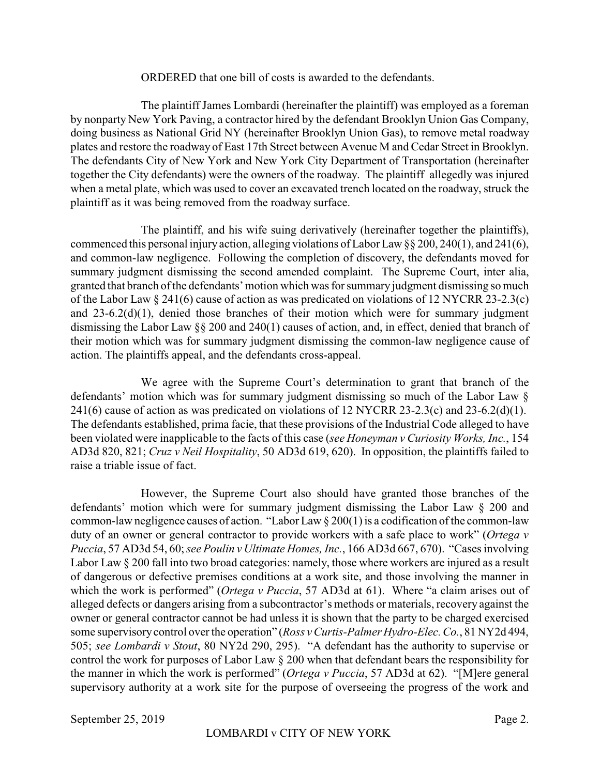## ORDERED that one bill of costs is awarded to the defendants.

The plaintiff James Lombardi (hereinafter the plaintiff) was employed as a foreman by nonparty New York Paving, a contractor hired by the defendant Brooklyn Union Gas Company, doing business as National Grid NY (hereinafter Brooklyn Union Gas), to remove metal roadway plates and restore the roadway of East 17th Street between Avenue M and Cedar Street in Brooklyn. The defendants City of New York and New York City Department of Transportation (hereinafter together the City defendants) were the owners of the roadway. The plaintiff allegedly was injured when a metal plate, which was used to cover an excavated trench located on the roadway, struck the plaintiff as it was being removed from the roadway surface.

The plaintiff, and his wife suing derivatively (hereinafter together the plaintiffs), commenced this personal injury action, alleging violations of Labor Law §§ 200, 240(1), and 241(6), and common-law negligence. Following the completion of discovery, the defendants moved for summary judgment dismissing the second amended complaint. The Supreme Court, inter alia, granted that branch of the defendants' motion which was for summary judgment dismissing so much of the Labor Law § 241(6) cause of action as was predicated on violations of 12 NYCRR 23-2.3(c) and 23-6.2(d)(1), denied those branches of their motion which were for summary judgment dismissing the Labor Law §§ 200 and 240(1) causes of action, and, in effect, denied that branch of their motion which was for summary judgment dismissing the common-law negligence cause of action. The plaintiffs appeal, and the defendants cross-appeal.

We agree with the Supreme Court's determination to grant that branch of the defendants' motion which was for summary judgment dismissing so much of the Labor Law § 241(6) cause of action as was predicated on violations of 12 NYCRR 23-2.3(c) and 23-6.2(d)(1). The defendants established, prima facie, that these provisions of the Industrial Code alleged to have been violated were inapplicable to the facts of this case (*see Honeyman v Curiosity Works, Inc.*, 154 AD3d 820, 821; *Cruz v Neil Hospitality*, 50 AD3d 619, 620). In opposition, the plaintiffs failed to raise a triable issue of fact.

However, the Supreme Court also should have granted those branches of the defendants' motion which were for summary judgment dismissing the Labor Law § 200 and common-law negligence causes of action. "Labor Law § 200(1) is a codification of the common-law duty of an owner or general contractor to provide workers with a safe place to work" (*Ortega v Puccia*, 57 AD3d 54, 60; *see Poulin v Ultimate Homes, Inc.*, 166 AD3d 667, 670). "Cases involving Labor Law § 200 fall into two broad categories: namely, those where workers are injured as a result of dangerous or defective premises conditions at a work site, and those involving the manner in which the work is performed" (*Ortega v Puccia*, 57 AD3d at 61). Where "a claim arises out of alleged defects or dangers arising from a subcontractor's methods or materials, recovery against the owner or general contractor cannot be had unless it is shown that the party to be charged exercised some supervisorycontrol over the operation" (*Ross v Curtis-Palmer Hydro-Elec. Co.*, 81 NY2d 494, 505; *see Lombardi v Stout*, 80 NY2d 290, 295). "A defendant has the authority to supervise or control the work for purposes of Labor Law § 200 when that defendant bears the responsibility for the manner in which the work is performed" (*Ortega v Puccia*, 57 AD3d at 62). "[M]ere general supervisory authority at a work site for the purpose of overseeing the progress of the work and